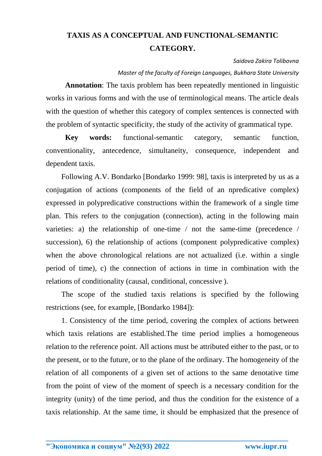## **TAXIS AS A CONCEPTUAL AND FUNCTIONAL-SEMANTIC CATEGORY.**

## *Saidova Zakira Tolibovna*

*Master of the faculty of Foreign Languages, Bukhara State University*

**Annotation**: The taxis problem has been repeatedly mentioned in linguistic works in various forms and with the use of terminological means. The article deals with the question of whether this category of complex sentences is connected with the problem of syntactic specificity, the study of the activity of grammatical type.

**Key words:** functional-semantic category, semantic function, conventionality, antecedence, simultaneity, consequence, independent and dependent taxis.

Following A.V. Bondarko [Bondarko 1999: 98], taxis is interpreted by us as a conjugation of actions (components of the field of an npredicative complex) expressed in polypredicative constructions within the framework of a single time plan. This refers to the conjugation (connection), acting in the following main varieties: a) the relationship of one-time / not the same-time (precedence / succession), 6) the relationship of actions (component polypredicative complex) when the above chronological relations are not actualized (i.e. within a single period of time), c) the connection of actions in time in combination with the relations of conditionality (causal, conditional, concessive ).

The scope of the studied taxis relations is specified by the following restrictions (see, for example, [Bondarko 1984]):

1. Consistency of the time period, covering the complex of actions between which taxis relations are established. The time period implies a homogeneous relation to the reference point. All actions must be attributed either to the past, or to the present, or to the future, or to the plane of the ordinary. The homogeneity of the relation of all components of a given set of actions to the same denotative time from the point of view of the moment of speech is a necessary condition for the integrity (unity) of the time period, and thus the condition for the existence of a taxis relationship. At the same time, it should be emphasized that the presence of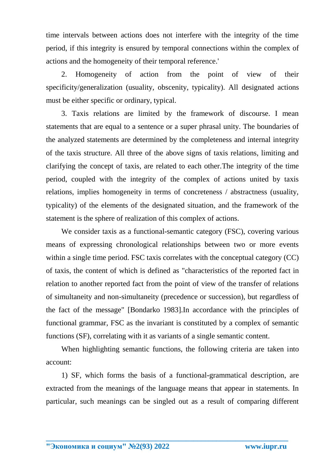time intervals between actions does not interfere with the integrity of the time period, if this integrity is ensured by temporal connections within the complex of actions and the homogeneity of their temporal reference.'

2. Homogeneity of action from the point of view of their specificity/generalization (usuality, obscenity, typicality). All designated actions must be either specific or ordinary, typical.

3. Taxis relations are limited by the framework of discourse. I mean statements that are equal to a sentence or a super phrasal unity. The boundaries of the analyzed statements are determined by the completeness and internal integrity of the taxis structure. All three of the above signs of taxis relations, limiting and clarifying the concept of taxis, are related to each other.The integrity of the time period, coupled with the integrity of the complex of actions united by taxis relations, implies homogeneity in terms of concreteness / abstractness (usuality, typicality) of the elements of the designated situation, and the framework of the statement is the sphere of realization of this complex of actions.

We consider taxis as a functional-semantic category (FSC), covering various means of expressing chronological relationships between two or more events within a single time period. FSC taxis correlates with the conceptual category (CC) of taxis, the content of which is defined as "characteristics of the reported fact in relation to another reported fact from the point of view of the transfer of relations of simultaneity and non-simultaneity (precedence or succession), but regardless of the fact of the message" [Bondarko 1983].In accordance with the principles of functional grammar, FSC as the invariant is constituted by a complex of semantic functions (SF), correlating with it as variants of a single semantic content.

When highlighting semantic functions, the following criteria are taken into account:

1) SF, which forms the basis of a functional-grammatical description, are extracted from the meanings of the language means that appear in statements. In particular, such meanings can be singled out as a result of comparing different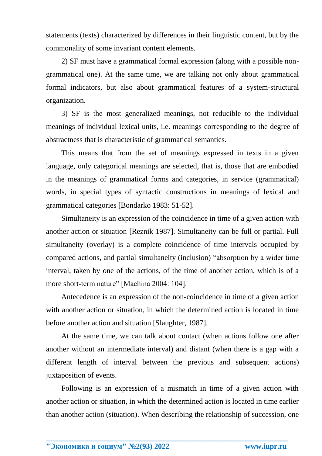statements (texts) characterized by differences in their linguistic content, but by the commonality of some invariant content elements.

2) SF must have a grammatical formal expression (along with a possible nongrammatical one). At the same time, we are talking not only about grammatical formal indicators, but also about grammatical features of a system-structural organization.

3) SF is the most generalized meanings, not reducible to the individual meanings of individual lexical units, i.e. meanings corresponding to the degree of abstractness that is characteristic of grammatical semantics.

This means that from the set of meanings expressed in texts in a given language, only categorical meanings are selected, that is, those that are embodied in the meanings of grammatical forms and categories, in service (grammatical) words, in special types of syntactic constructions in meanings of lexical and grammatical categories [Bondarko 1983: 51-52].

Simultaneity is an expression of the coincidence in time of a given action with another action or situation [Reznik 1987]. Simultaneity can be full or partial. Full simultaneity (overlay) is a complete coincidence of time intervals occupied by compared actions, and partial simultaneity (inclusion) "absorption by a wider time interval, taken by one of the actions, of the time of another action, which is of a more short-term nature" [Machina 2004: 104].

Antecedence is an expression of the non-coincidence in time of a given action with another action or situation, in which the determined action is located in time before another action and situation [Slaughter, 1987].

At the same time, we can talk about contact (when actions follow one after another without an intermediate interval) and distant (when there is a gap with a different length of interval between the previous and subsequent actions) juxtaposition of events.

Following is an expression of a mismatch in time of a given action with another action or situation, in which the determined action is located in time earlier than another action (situation). When describing the relationship of succession, one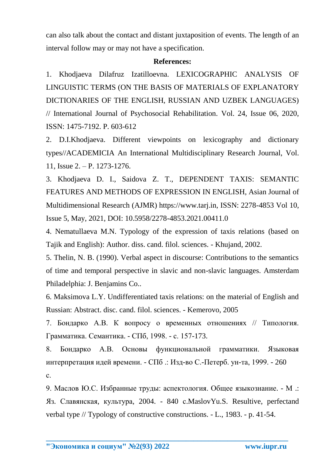can also talk about the contact and distant juxtaposition of events. The length of an interval follow may or may not have a specification.

## **References:**

1. Khodjaeva Dilafruz Izatilloevna. LEXICOGRAPHIC ANALYSIS OF LINGUISTIC TERMS (ON THE BASIS OF MATERIALS OF EXPLANATORY DICTIONARIES OF THE ENGLISH, RUSSIAN AND UZBEK LANGUAGES) // International Journal of Psychosocial Rehabilitation. Vol. 24, Issue 06, 2020, ISSN: 1475-7192. P. 603-612

2. D.I.Khodjaeva. Different viewpoints on lexicography and dictionary types//ACADEMICIA An International Multidisciplinary Research Journal, Vol. 11, Issue 2. – P. 1273-1276.

3. Khodjaeva D. I., Saidova Z. T., DEPENDENT TAXIS: SEMANTIC FEATURES AND METHODS OF EXPRESSION IN ENGLISH, Asian Journal of Multidimensional Research (AJMR) https://www.tarj.in, ISSN: 2278-4853 Vol 10, Issue 5, May, 2021, DOI: 10.5958/2278-4853.2021.00411.0

4. Nematullaeva M.N. Typology of the expression of taxis relations (based on Tajik and English): Author. diss. cand. filol. sciences. - Khujand, 2002.

5. Thelin, N. B. (1990). Verbal aspect in discourse: Contributions to the semantics of time and temporal perspective in slavic and non-slavic languages. Amsterdam Philadelphia: J. Benjamins Co..

6. Maksimova L.Y. Undifferentiated taxis relations: on the material of English and Russian: Abstract. disc. cand. filol. sciences. - Kemerovo, 2005

7. Бондарко А.В. К вопросу о временных отношениях // Типология. Грамматика. Семантика. - СПб, 1998. - с. 157-173.

8. Бондарко А.В. Основы функциональной грамматики. Языковая интерпретация идей времени. - СПб .: Изд-во С.-Петерб. ун-та, 1999. - 260 с.

9. Маслов Ю.С. Избранные труды: аспектология. Общее языкознание. - М .: Яз. Славянская, культура, 2004. - 840 с.MaslovYu.S. Resultive, perfectand verbal type // Typology of constructive constructions. - L., 1983. - p. 41-54.